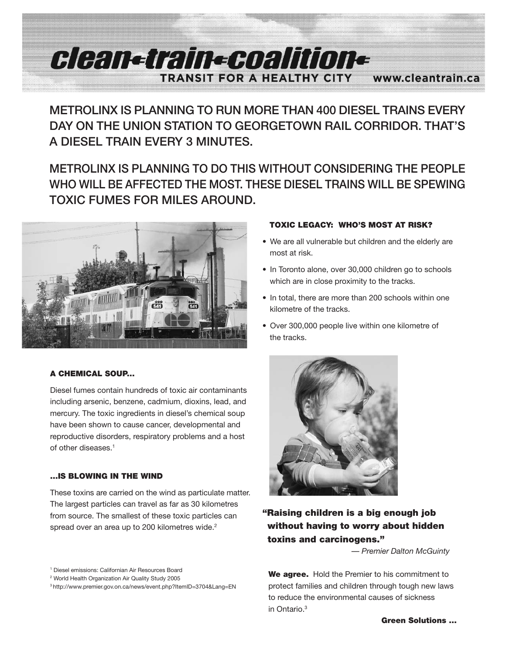# **Alema raina analitiona TRANSIT FOR A HEALTHY CITY WWW.cleantrain.ca**

**METROLINX IS PLANNING TO RUN MORE THAN 400 DIESEL TRAINS EVERY DAY ON THE UNION STATION TO GEORGETOWN RAIL CORRIDOR. THAT'S A DIESEL TRAIN EVERY 3 MINUTES.**

## **METROLINX IS PLANNING TO DO THIS WITHOUT CONSIDERING THE PEOPLE WHO WILL BE AFFECTED THE MOST. THESE DIESEL TRAINS WILL BE SPEWING TOXIC FUMES FOR MILES AROUND.**



## **A CHEMICAL SOUP...**

Diesel fumes contain hundreds of toxic air contaminants including arsenic, benzene, cadmium, dioxins, lead, and mercury. The toxic ingredients in diesel's chemical soup have been shown to cause cancer, developmental and reproductive disorders, respiratory problems and a host of other diseases. 1

## **...IS BLOWING IN THE WIND**

These toxins are carried on the wind as particulate matter. The largest particles can travel as far as 30 kilometres from source. The smallest of these toxic particles can spread over an area up to 200 kilometres wide.<sup>2</sup>

## **TOXIC LEGACY: WHO'S MOST AT RISK?**

- We are all vulnerable but children and the elderly are most at risk.
- In Toronto alone, over 30,000 children go to schools which are in close proximity to the tracks.
- In total, there are more than 200 schools within one kilometre of the tracks.
- Over 300,000 people live within one kilometre of the tracks.



## **"Raising children is a big enough job without having to worry about hidden toxins and carcinogens."**

*— Premier Dalton McGuinty*

**We agree.** Hold the Premier to his commitment to protect families and children through tough new laws to reduce the environmental causes of sickness in Ontario. 3

<sup>1</sup> Diesel emissions: Californian Air Resources Board

<sup>2</sup> World Health Organization Air Quality Study 2005

<sup>3</sup> http://www.premier.gov.on.ca/news/event.php?ItemID=3704&Lang=EN